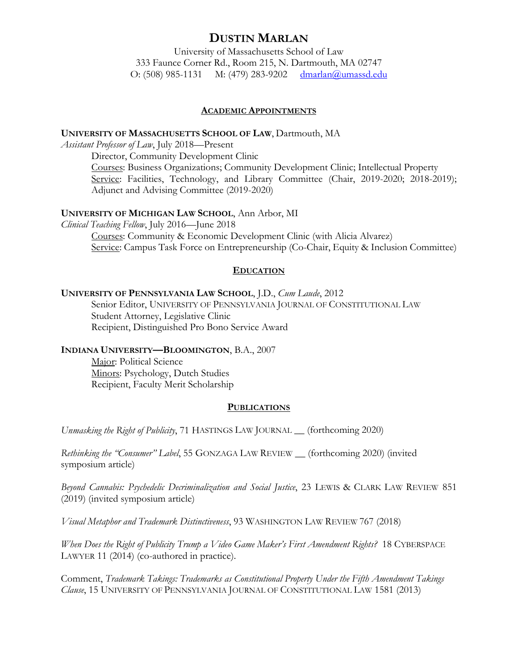# **DUSTIN MARLAN**

University of Massachusetts School of Law 333 Faunce Corner Rd., Room 215, N. Dartmouth, MA 02747 O: (508) 985-1131 M: (479) 283-9202 [dmarlan@umassd.edu](mailto:dmarlan@umassd.edu)

### **ACADEMIC APPOINTMENTS**

#### **UNIVERSITY OF MASSACHUSETTS SCHOOL OF LAW**, Dartmouth, MA

*Assistant Professor of Law*, July 2018—Present

Director, Community Development Clinic

Courses: Business Organizations; Community Development Clinic; Intellectual Property Service: Facilities, Technology, and Library Committee (Chair, 2019-2020; 2018-2019); Adjunct and Advising Committee (2019-2020)

#### **UNIVERSITY OF MICHIGAN LAW SCHOOL**, Ann Arbor, MI

*Clinical Teaching Fellow*, July 2016—June 2018

Courses: Community & Economic Development Clinic (with Alicia Alvarez) Service: Campus Task Force on Entrepreneurship (Co-Chair, Equity & Inclusion Committee)

#### **EDUCATION**

#### **UNIVERSITY OF PENNSYLVANIA LAW SCHOOL**, J.D., *Cum Laude*, 2012

Senior Editor, UNIVERSITY OF PENNSYLVANIA JOURNAL OF CONSTITUTIONAL LAW Student Attorney, Legislative Clinic Recipient, Distinguished Pro Bono Service Award

#### **INDIANA UNIVERSITY—BLOOMINGTON**, B.A., 2007

Major: Political Science Minors: Psychology, Dutch Studies Recipient, Faculty Merit Scholarship

#### **PUBLICATIONS**

*Unmasking the Right of Publicity*, 71 HASTINGS LAW JOURNAL \_\_ (forthcoming 2020)

*Rethinking the "Consumer" Label*, 55 GONZAGA LAW REVIEW \_\_ (forthcoming 2020) (invited symposium article)

*Beyond Cannabis: Psychedelic Decriminalization and Social Justice*, 23 LEWIS & CLARK LAW REVIEW 851 (2019) (invited symposium article)

*Visual Metaphor and Trademark Distinctiveness*, 93 WASHINGTON LAW REVIEW 767 (2018)

*When Does the Right of Publicity Trump a Video Game Maker's First Amendment Rights?* 18 CYBERSPACE LAWYER 11 (2014) (co-authored in practice).

Comment, *Trademark Takings: Trademarks as Constitutional Property Under the Fifth Amendment Takings Clause*, 15 UNIVERSITY OF PENNSYLVANIA JOURNAL OF CONSTITUTIONAL LAW 1581 (2013)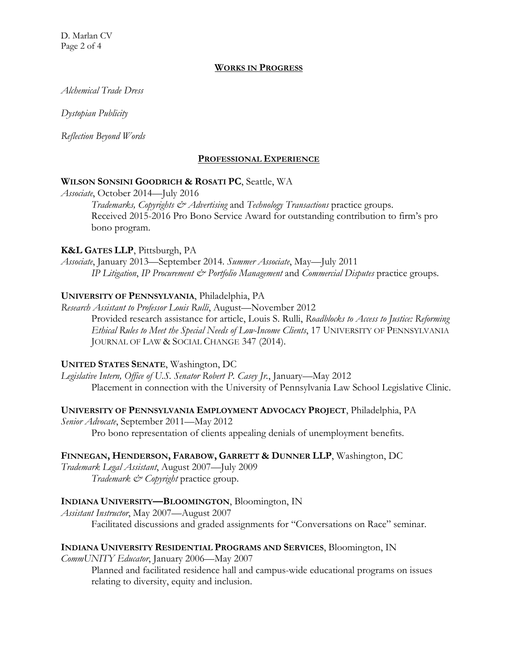### **WORKS IN PROGRESS**

*Alchemical Trade Dress*

*Dystopian Publicity* 

*Reflection Beyond Words*

# **PROFESSIONAL EXPERIENCE**

# **WILSON SONSINI GOODRICH & ROSATI PC**, Seattle, WA

*Associate*, October 2014—July 2016

*Trademarks, Copyrights & Advertising* and *Technology Transactions* practice groups. Received 2015-2016 Pro Bono Service Award for outstanding contribution to firm's pro bono program.

# **K&L GATES LLP**, Pittsburgh, PA

*Associate*, January 2013—September 2014. *Summer Associate*, May—July 2011 *IP Litigation*, *IP Procurement & Portfolio Management* and *Commercial Disputes* practice groups.

# **UNIVERSITY OF PENNSYLVANIA**, Philadelphia, PA

*Research Assistant to Professor Louis Rulli*, August—November 2012 Provided research assistance for article, Louis S. Rulli, *Roadblocks to Access to Justice: Reforming Ethical Rules to Meet the Special Needs of Low-Income Clients*, 17 UNIVERSITY OF PENNSYLVANIA JOURNAL OF LAW & SOCIAL CHANGE 347 (2014).

### **UNITED STATES SENATE**, Washington, DC

*Legislative Intern, Office of U.S. Senator Robert P. Casey Jr.*, January—May 2012 Placement in connection with the University of Pennsylvania Law School Legislative Clinic.

### **UNIVERSITY OF PENNSYLVANIA EMPLOYMENT ADVOCACY PROJECT**, Philadelphia, PA

*Senior Advocate*, September 2011—May 2012

Pro bono representation of clients appealing denials of unemployment benefits.

# **FINNEGAN, HENDERSON, FARABOW, GARRETT & DUNNER LLP**, Washington, DC

*Trademark Legal Assistant*, August 2007—July 2009 *Trademark & Copyright* practice group.

### **INDIANA UNIVERSITY—BLOOMINGTON**, Bloomington, IN

*Assistant Instructor*, May 2007—August 2007 Facilitated discussions and graded assignments for "Conversations on Race" seminar.

# **INDIANA UNIVERSITY RESIDENTIAL PROGRAMS AND SERVICES**, Bloomington, IN

*CommUNITY Educator*, January 2006—May 2007

Planned and facilitated residence hall and campus-wide educational programs on issues relating to diversity, equity and inclusion.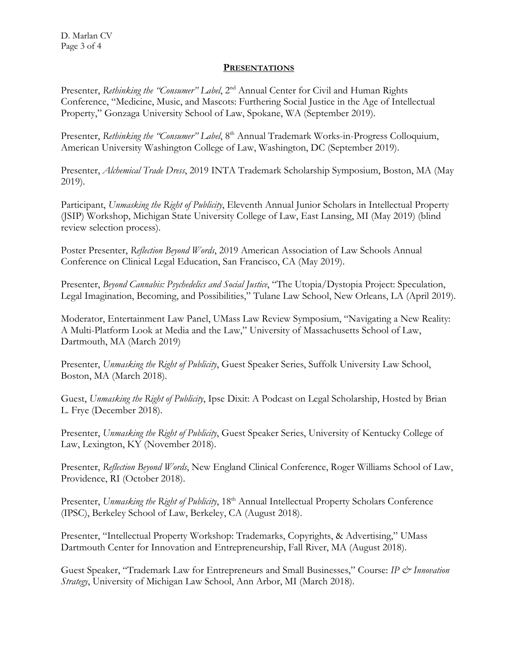### **PRESENTATIONS**

Presenter, *Rethinking the "Consumer" Label*, 2nd Annual Center for Civil and Human Rights Conference, "Medicine, Music, and Mascots: Furthering Social Justice in the Age of Intellectual Property," Gonzaga University School of Law, Spokane, WA (September 2019).

Presenter, *Rethinking the "Consumer" Label*, 8<sup>th</sup> Annual Trademark Works-in-Progress Colloquium, American University Washington College of Law, Washington, DC (September 2019).

Presenter, *Alchemical Trade Dress*, 2019 INTA Trademark Scholarship Symposium, Boston, MA (May 2019).

Participant, *Unmasking the Right of Publicity*, Eleventh Annual Junior Scholars in Intellectual Property (JSIP) Workshop, Michigan State University College of Law, East Lansing, MI (May 2019) (blind review selection process).

Poster Presenter, *Reflection Beyond Words*, 2019 American Association of Law Schools Annual Conference on Clinical Legal Education, San Francisco, CA (May 2019).

Presenter, *Beyond Cannabis: Psychedelics and Social Justice*, "The Utopia/Dystopia Project: Speculation, Legal Imagination, Becoming, and Possibilities," Tulane Law School, New Orleans, LA (April 2019).

Moderator, Entertainment Law Panel, UMass Law Review Symposium, "Navigating a New Reality: A Multi-Platform Look at Media and the Law," University of Massachusetts School of Law, Dartmouth, MA (March 2019)

Presenter, *Unmasking the Right of Publicity*, Guest Speaker Series, Suffolk University Law School, Boston, MA (March 2018).

Guest, *Unmasking the Right of Publicity*, Ipse Dixit: A Podcast on Legal Scholarship, Hosted by Brian L. Frye (December 2018).

Presenter, *Unmasking the Right of Publicity*, Guest Speaker Series, University of Kentucky College of Law, Lexington, KY (November 2018).

Presenter, *Reflection Beyond Words*, New England Clinical Conference, Roger Williams School of Law, Providence, RI (October 2018).

Presenter, *Unmasking the Right of Publicity*, 18<sup>th</sup> Annual Intellectual Property Scholars Conference (IPSC), Berkeley School of Law, Berkeley, CA (August 2018).

Presenter, "Intellectual Property Workshop: Trademarks, Copyrights, & Advertising," UMass Dartmouth Center for Innovation and Entrepreneurship, Fall River, MA (August 2018).

Guest Speaker, "Trademark Law for Entrepreneurs and Small Businesses," Course: *IP & Innovation Strategy*, University of Michigan Law School, Ann Arbor, MI (March 2018).